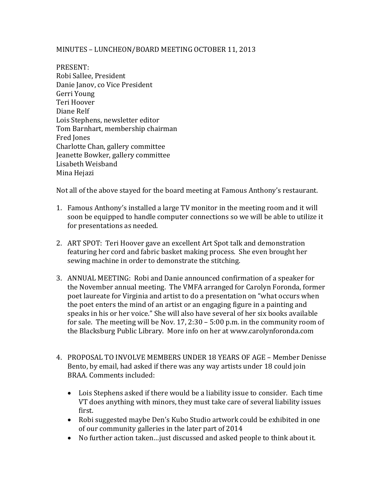## MINUTES – LUNCHEON/BOARD MEETING OCTOBER 11, 2013

PRESENT: Robi Sallee, President Danie Janov, co Vice President Gerri Young Teri Hoover Diane Relf Lois Stephens, newsletter editor Tom Barnhart, membership chairman Fred Jones Charlotte Chan, gallery committee Jeanette Bowker, gallery committee Lisabeth Weisband Mina Hejazi

Not all of the above stayed for the board meeting at Famous Anthony's restaurant.

- 1. Famous Anthony's installed a large TV monitor in the meeting room and it will soon be equipped to handle computer connections so we will be able to utilize it for presentations as needed.
- 2. ART SPOT: Teri Hoover gave an excellent Art Spot talk and demonstration featuring her cord and fabric basket making process. She even brought her sewing machine in order to demonstrate the stitching.
- 3. ANNUAL MEETING: Robi and Danie announced confirmation of a speaker for the November annual meeting. The VMFA arranged for Carolyn Foronda, former poet laureate for Virginia and artist to do a presentation on "what occurs when the poet enters the mind of an artist or an engaging figure in a painting and speaks in his or her voice." She will also have several of her six books available for sale. The meeting will be Nov. 17, 2:30 – 5:00 p.m. in the community room of the Blacksburg Public Library. More info on her at www.carolynforonda.com
- 4. PROPOSAL TO INVOLVE MEMBERS UNDER 18 YEARS OF AGE Member Denisse Bento, by email, had asked if there was any way artists under 18 could join BRAA. Comments included:
	- Lois Stephens asked if there would be a liability issue to consider. Each time VT does anything with minors, they must take care of several liability issues first.
	- Robi suggested maybe Den's Kubo Studio artwork could be exhibited in one of our community galleries in the later part of 2014
	- No further action taken…just discussed and asked people to think about it.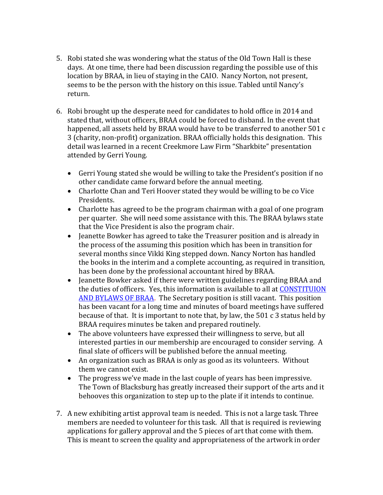- 5. Robi stated she was wondering what the status of the Old Town Hall is these days. At one time, there had been discussion regarding the possible use of this location by BRAA, in lieu of staying in the CAIO. Nancy Norton, not present, seems to be the person with the history on this issue. Tabled until Nancy's return.
- 6. Robi brought up the desperate need for candidates to hold office in 2014 and stated that, without officers, BRAA could be forced to disband. In the event that happened, all assets held by BRAA would have to be transferred to another 501 c 3 (charity, non-profit) organization. BRAA officially holds this designation. This detail was learned in a recent Creekmore Law Firm "Sharkbite" presentation attended by Gerri Young.
	- Gerri Young stated she would be willing to take the President's position if no other candidate came forward before the annual meeting.
	- Charlotte Chan and Teri Hoover stated they would be willing to be co Vice Presidents.
	- Charlotte has agreed to be the program chairman with a goal of one program per quarter. She will need some assistance with this. The BRAA bylaws state that the Vice President is also the program chair.
	- Jeanette Bowker has agreed to take the Treasurer position and is already in the process of the assuming this position which has been in transition for several months since Vikki King stepped down. Nancy Norton has handled the books in the interim and a complete accounting, as required in transition, has been done by the professional accountant hired by BRAA.
	- Jeanette Bowker asked if there were written guidelines regarding BRAA and the duties of officers. Yes, this information is available to all at [CONSTITUION](http://media.wix.com/ugd/48a43d_4fb71d6f38c7d09a7727717412fa5494.pdf)  [AND BYLAWS OF BRAA.](http://media.wix.com/ugd/48a43d_4fb71d6f38c7d09a7727717412fa5494.pdf) The Secretary position is still vacant. This position has been vacant for a long time and minutes of board meetings have suffered because of that. It is important to note that, by law, the 501 c 3 status held by BRAA requires minutes be taken and prepared routinely.
	- The above volunteers have expressed their willingness to serve, but all interested parties in our membership are encouraged to consider serving. A final slate of officers will be published before the annual meeting.
	- An organization such as BRAA is only as good as its volunteers. Without them we cannot exist.
	- The progress we've made in the last couple of years has been impressive. The Town of Blacksburg has greatly increased their support of the arts and it behooves this organization to step up to the plate if it intends to continue.
- 7. A new exhibiting artist approval team is needed. This is not a large task. Three members are needed to volunteer for this task. All that is required is reviewing applications for gallery approval and the 5 pieces of art that come with them. This is meant to screen the quality and appropriateness of the artwork in order